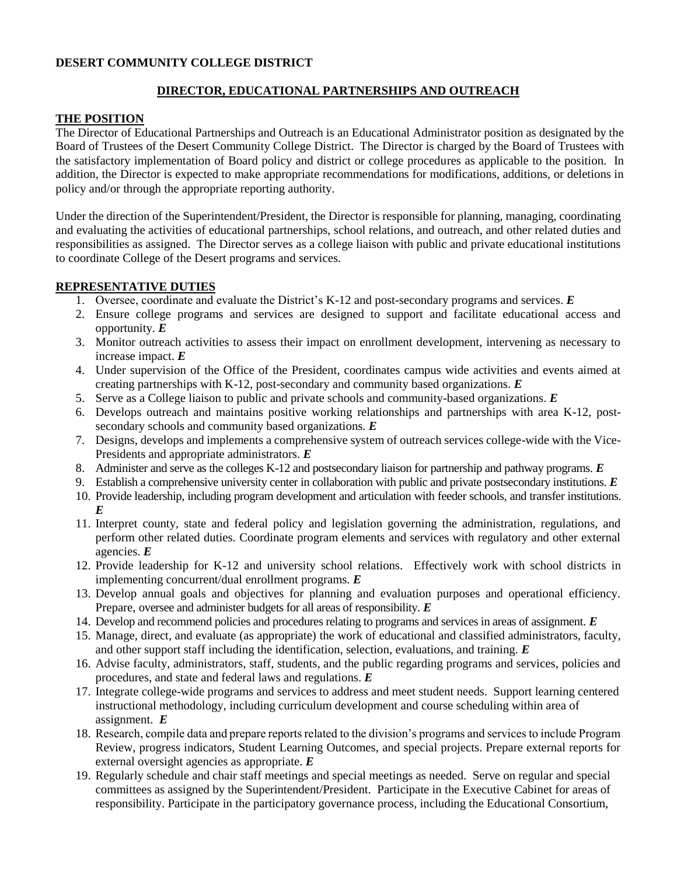## **DESERT COMMUNITY COLLEGE DISTRICT**

# **DIRECTOR, EDUCATIONAL PARTNERSHIPS AND OUTREACH**

### **THE POSITION**

The Director of Educational Partnerships and Outreach is an Educational Administrator position as designated by the Board of Trustees of the Desert Community College District. The Director is charged by the Board of Trustees with the satisfactory implementation of Board policy and district or college procedures as applicable to the position. In addition, the Director is expected to make appropriate recommendations for modifications, additions, or deletions in policy and/or through the appropriate reporting authority.

Under the direction of the Superintendent/President, the Director is responsible for planning, managing, coordinating and evaluating the activities of educational partnerships, school relations, and outreach, and other related duties and responsibilities as assigned. The Director serves as a college liaison with public and private educational institutions to coordinate College of the Desert programs and services.

## **REPRESENTATIVE DUTIES**

- 1. Oversee, coordinate and evaluate the District's K-12 and post-secondary programs and services. *E*
- 2. Ensure college programs and services are designed to support and facilitate educational access and opportunity. *E*
- 3. Monitor outreach activities to assess their impact on enrollment development, intervening as necessary to increase impact. *E*
- 4. Under supervision of the Office of the President, coordinates campus wide activities and events aimed at creating partnerships with K-12, post-secondary and community based organizations. *E*
- 5. Serve as a College liaison to public and private schools and community-based organizations. *E*
- 6. Develops outreach and maintains positive working relationships and partnerships with area K-12, postsecondary schools and community based organizations. *E*
- 7. Designs, develops and implements a comprehensive system of outreach services college-wide with the Vice-Presidents and appropriate administrators. *E*
- 8. Administer and serve as the colleges K-12 and postsecondary liaison for partnership and pathway programs. *E*
- 9. Establish a comprehensive university center in collaboration with public and private postsecondary institutions. *E*
- 10. Provide leadership, including program development and articulation with feeder schools, and transfer institutions. *E*
- 11. Interpret county, state and federal policy and legislation governing the administration, regulations, and perform other related duties. Coordinate program elements and services with regulatory and other external agencies. *E*
- 12. Provide leadership for K-12 and university school relations. Effectively work with school districts in implementing concurrent/dual enrollment programs. *E*
- 13. Develop annual goals and objectives for planning and evaluation purposes and operational efficiency. Prepare, oversee and administer budgets for all areas of responsibility. *E*
- 14. Develop and recommend policies and procedures relating to programs and services in areas of assignment. *E*
- 15. Manage, direct, and evaluate (as appropriate) the work of educational and classified administrators, faculty, and other support staff including the identification, selection, evaluations, and training. *E*
- 16. Advise faculty, administrators, staff, students, and the public regarding programs and services, policies and procedures, and state and federal laws and regulations. *E*
- 17. Integrate college-wide programs and services to address and meet student needs. Support learning centered instructional methodology, including curriculum development and course scheduling within area of assignment. *E*
- 18. Research, compile data and prepare reports related to the division's programs and services to include Program Review, progress indicators, Student Learning Outcomes, and special projects. Prepare external reports for external oversight agencies as appropriate. *E*
- 19. Regularly schedule and chair staff meetings and special meetings as needed. Serve on regular and special committees as assigned by the Superintendent/President. Participate in the Executive Cabinet for areas of responsibility. Participate in the participatory governance process, including the Educational Consortium,